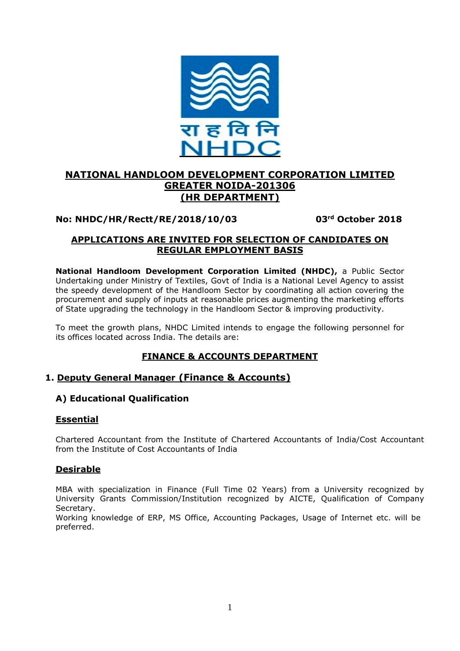

# **NATIONAL HANDLOOM DEVELOPMENT CORPORATION LIMITED GREATER NOIDA-201306 (HR DEPARTMENT)**

# **No: NHDC/HR/Rectt/RE/2018/10/03 03**

**rd October 2018**

# **APPLICATIONS ARE INVITED FOR SELECTION OF CANDIDATES ON REGULAR EMPLOYMENT BASIS**

**National Handloom Development Corporation Limited (NHDC),** a Public Sector Undertaking under Ministry of Textiles, Govt of India is a National Level Agency to assist the speedy development of the Handloom Sector by coordinating all action covering the procurement and supply of inputs at reasonable prices augmenting the marketing efforts of State upgrading the technology in the Handloom Sector & improving productivity.

To meet the growth plans, NHDC Limited intends to engage the following personnel for its offices located across India. The details are:

# **FINANCE & ACCOUNTS DEPARTMENT**

# **1. Deputy General Manager (Finance & Accounts)**

# **A) Educational Qualification**

# **Essential**

Chartered Accountant from the Institute of Chartered Accountants of India/Cost Accountant from the Institute of Cost Accountants of India

## **Desirable**

MBA with specialization in Finance (Full Time 02 Years) from a University recognized by University Grants Commission/Institution recognized by AICTE, Qualification of Company Secretary.

Working knowledge of ERP, MS Office, Accounting Packages, Usage of Internet etc. will be preferred.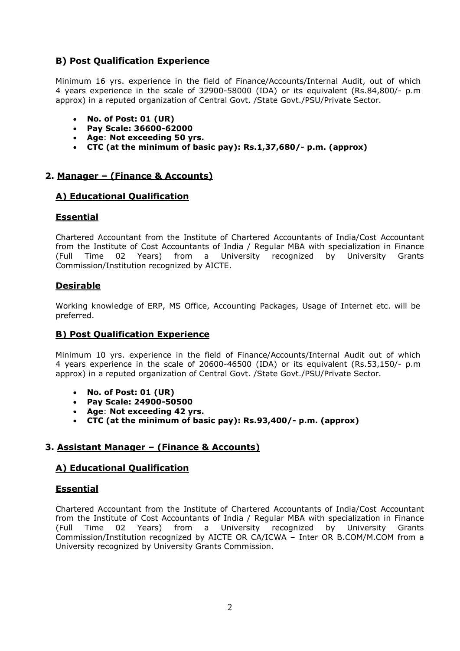# **B) Post Qualification Experience**

Minimum 16 yrs. experience in the field of Finance/Accounts/Internal Audit, out of which 4 years experience in the scale of 32900-58000 (IDA) or its equivalent (Rs.84,800/- p.m approx) in a reputed organization of Central Govt. /State Govt./PSU/Private Sector.

- **No. of Post: 01 (UR)**
- **Pay Scale: 36600-62000**
- **Age**: **Not exceeding 50 yrs.**
- **CTC (at the minimum of basic pay): Rs.1,37,680/- p.m. (approx)**

## **2. Manager – (Finance & Accounts)**

## **A) Educational Qualification**

## **Essential**

Chartered Accountant from the Institute of Chartered Accountants of India/Cost Accountant from the Institute of Cost Accountants of India / Regular MBA with specialization in Finance (Full Time 02 Years) from a University recognized by University Grants Commission/Institution recognized by AICTE.

## **Desirable**

Working knowledge of ERP, MS Office, Accounting Packages, Usage of Internet etc. will be preferred.

## **B) Post Qualification Experience**

Minimum 10 yrs. experience in the field of Finance/Accounts/Internal Audit out of which 4 years experience in the scale of 20600-46500 (IDA) or its equivalent (Rs.53,150/- p.m approx) in a reputed organization of Central Govt. /State Govt./PSU/Private Sector.

- **No. of Post: 01 (UR)**
- **Pay Scale: 24900-50500**
- **Age**: **Not exceeding 42 yrs.**
- **CTC (at the minimum of basic pay): Rs.93,400/- p.m. (approx)**

# **3. Assistant Manager – (Finance & Accounts)**

## **A) Educational Qualification**

## **Essential**

Chartered Accountant from the Institute of Chartered Accountants of India/Cost Accountant from the Institute of Cost Accountants of India / Regular MBA with specialization in Finance (Full Time 02 Years) from a University recognized by University Grants Commission/Institution recognized by AICTE OR CA/ICWA – Inter OR B.COM/M.COM from a University recognized by University Grants Commission.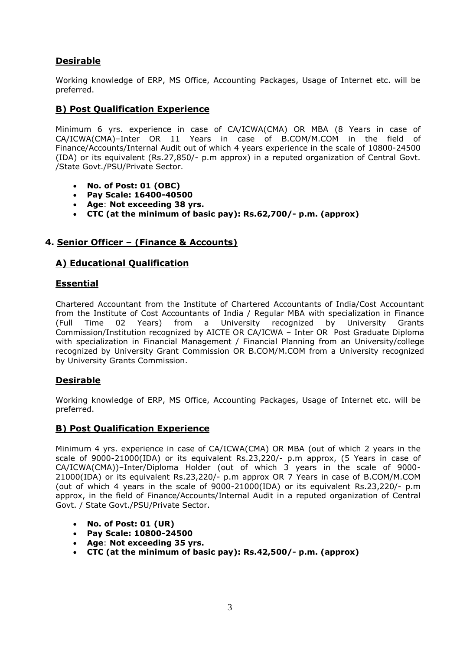# **Desirable**

Working knowledge of ERP, MS Office, Accounting Packages, Usage of Internet etc. will be preferred.

# **B) Post Qualification Experience**

Minimum 6 yrs. experience in case of CA/ICWA(CMA) OR MBA (8 Years in case of CA/ICWA(CMA)–Inter OR 11 Years in case of B.COM/M.COM in the field of Finance/Accounts/Internal Audit out of which 4 years experience in the scale of 10800-24500 (IDA) or its equivalent (Rs.27,850/- p.m approx) in a reputed organization of Central Govt. /State Govt./PSU/Private Sector.

- **No. of Post: 01 (OBC)**
- **Pay Scale: 16400-40500**
- **Age**: **Not exceeding 38 yrs.**
- **CTC (at the minimum of basic pay): Rs.62,700/- p.m. (approx)**

# **4. Senior Officer – (Finance & Accounts)**

# **A) Educational Qualification**

## **Essential**

Chartered Accountant from the Institute of Chartered Accountants of India/Cost Accountant from the Institute of Cost Accountants of India / Regular MBA with specialization in Finance (Full Time 02 Years) from a University recognized by University Grants Commission/Institution recognized by AICTE OR CA/ICWA – Inter OR Post Graduate Diploma with specialization in Financial Management / Financial Planning from an University/college recognized by University Grant Commission OR B.COM/M.COM from a University recognized by University Grants Commission.

# **Desirable**

Working knowledge of ERP, MS Office, Accounting Packages, Usage of Internet etc. will be preferred.

## **B) Post Qualification Experience**

Minimum 4 yrs. experience in case of CA/ICWA(CMA) OR MBA (out of which 2 years in the scale of 9000-21000(IDA) or its equivalent Rs.23,220/- p.m approx, (5 Years in case of CA/ICWA(CMA))–Inter/Diploma Holder (out of which 3 years in the scale of 9000- 21000(IDA) or its equivalent Rs.23,220/- p.m approx OR 7 Years in case of B.COM/M.COM (out of which 4 years in the scale of 9000-21000(IDA) or its equivalent Rs.23,220/- p.m approx, in the field of Finance/Accounts/Internal Audit in a reputed organization of Central Govt. / State Govt./PSU/Private Sector.

- **No. of Post: 01 (UR)**
- **Pay Scale: 10800-24500**
- **Age**: **Not exceeding 35 yrs.**
- **CTC (at the minimum of basic pay): Rs.42,500/- p.m. (approx)**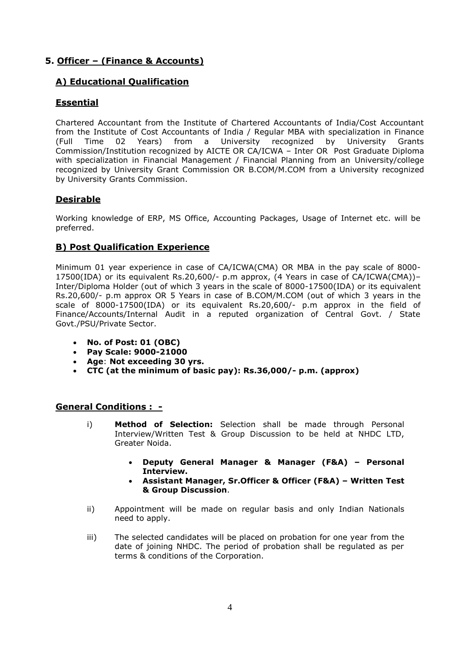# **5. Officer – (Finance & Accounts)**

# **A) Educational Qualification**

# **Essential**

Chartered Accountant from the Institute of Chartered Accountants of India/Cost Accountant from the Institute of Cost Accountants of India / Regular MBA with specialization in Finance (Full Time 02 Years) from a University recognized by University Grants Commission/Institution recognized by AICTE OR CA/ICWA – Inter OR Post Graduate Diploma with specialization in Financial Management / Financial Planning from an University/college recognized by University Grant Commission OR B.COM/M.COM from a University recognized by University Grants Commission.

# **Desirable**

Working knowledge of ERP, MS Office, Accounting Packages, Usage of Internet etc. will be preferred.

## **B) Post Qualification Experience**

Minimum 01 year experience in case of CA/ICWA(CMA) OR MBA in the pay scale of 8000- 17500(IDA) or its equivalent Rs.20,600/- p.m approx, (4 Years in case of CA/ICWA(CMA))– Inter/Diploma Holder (out of which 3 years in the scale of 8000-17500(IDA) or its equivalent Rs.20,600/- p.m approx OR 5 Years in case of B.COM/M.COM (out of which 3 years in the scale of 8000-17500(IDA) or its equivalent Rs.20,600/- p.m approx in the field of Finance/Accounts/Internal Audit in a reputed organization of Central Govt. / State Govt./PSU/Private Sector.

- **No. of Post: 01 (OBC)**
- **Pay Scale: 9000-21000**
- **Age**: **Not exceeding 30 yrs.**
- **CTC (at the minimum of basic pay): Rs.36,000/- p.m. (approx)**

#### **General Conditions : -**

- i) **Method of Selection:** Selection shall be made through Personal Interview/Written Test & Group Discussion to be held at NHDC LTD, Greater Noida.
	- **Deputy General Manager & Manager (F&A) – Personal Interview.**
	- **Assistant Manager, Sr.Officer & Officer (F&A) – Written Test & Group Discussion**.
- ii) Appointment will be made on regular basis and only Indian Nationals need to apply.
- iii) The selected candidates will be placed on probation for one year from the date of joining NHDC. The period of probation shall be regulated as per terms & conditions of the Corporation.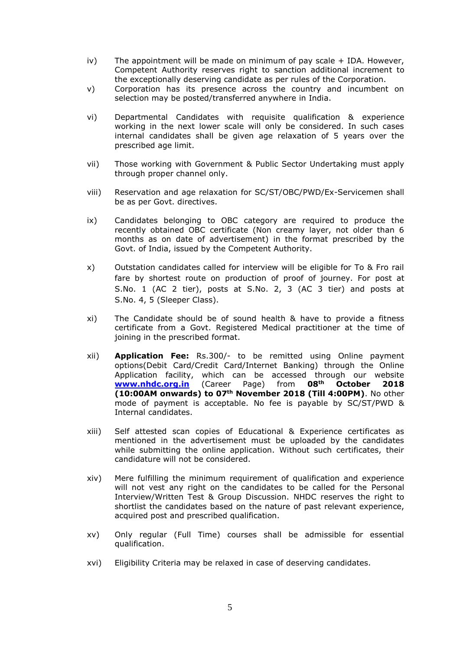- $iv)$  The appointment will be made on minimum of pay scale  $+$  IDA. However, Competent Authority reserves right to sanction additional increment to the exceptionally deserving candidate as per rules of the Corporation.
- v) Corporation has its presence across the country and incumbent on selection may be posted/transferred anywhere in India.
- vi) Departmental Candidates with requisite qualification & experience working in the next lower scale will only be considered. In such cases internal candidates shall be given age relaxation of 5 years over the prescribed age limit.
- vii) Those working with Government & Public Sector Undertaking must apply through proper channel only.
- viii) Reservation and age relaxation for SC/ST/OBC/PWD/Ex-Servicemen shall be as per Govt. directives.
- ix) Candidates belonging to OBC category are required to produce the recently obtained OBC certificate (Non creamy layer, not older than 6 months as on date of advertisement) in the format prescribed by the Govt. of India, issued by the Competent Authority.
- x) Outstation candidates called for interview will be eligible for To & Fro rail fare by shortest route on production of proof of journey. For post at S.No. 1 (AC 2 tier), posts at S.No. 2, 3 (AC 3 tier) and posts at S.No. 4, 5 (Sleeper Class).
- xi) The Candidate should be of sound health & have to provide a fitness certificate from a Govt. Registered Medical practitioner at the time of joining in the prescribed format.
- xii) **Application Fee:** Rs.300/- to be remitted using Online payment options(Debit Card/Credit Card/Internet Banking) through the Online Application facility, which can be accessed through our website **[www.nhdc.org.in](http://www.nhdc.org.in/)** (Career Page) from **08th October 2018 (10:00AM onwards) to 07th November 2018 (Till 4:00PM)**. No other mode of payment is acceptable. No fee is payable by SC/ST/PWD & Internal candidates.
- xiii) Self attested scan copies of Educational & Experience certificates as mentioned in the advertisement must be uploaded by the candidates while submitting the online application. Without such certificates, their candidature will not be considered.
- xiv) Mere fulfilling the minimum requirement of qualification and experience will not vest any right on the candidates to be called for the Personal Interview/Written Test & Group Discussion. NHDC reserves the right to shortlist the candidates based on the nature of past relevant experience, acquired post and prescribed qualification.
- xv) Only regular (Full Time) courses shall be admissible for essential qualification.
- xvi) Eligibility Criteria may be relaxed in case of deserving candidates.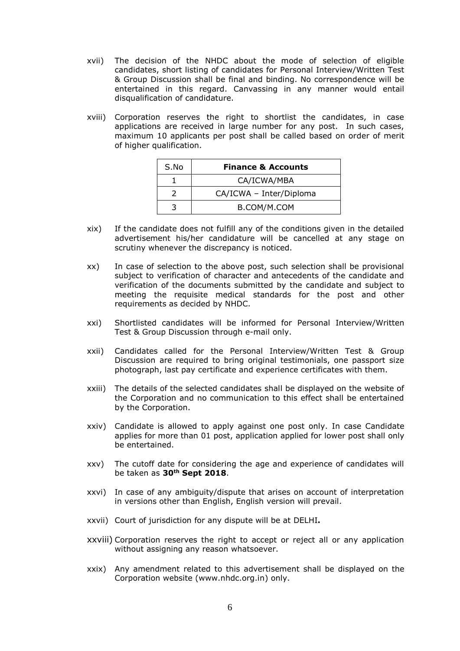- xvii) The decision of the NHDC about the mode of selection of eligible candidates, short listing of candidates for Personal Interview/Written Test & Group Discussion shall be final and binding. No correspondence will be entertained in this regard. Canvassing in any manner would entail disqualification of candidature.
- xviii) Corporation reserves the right to shortlist the candidates, in case applications are received in large number for any post. In such cases, maximum 10 applicants per post shall be called based on order of merit of higher qualification.

| S.No | <b>Finance &amp; Accounts</b> |
|------|-------------------------------|
|      | CA/ICWA/MBA                   |
|      | CA/ICWA - Inter/Diploma       |
|      | B.COM/M.COM                   |

- xix) If the candidate does not fulfill any of the conditions given in the detailed advertisement his/her candidature will be cancelled at any stage on scrutiny whenever the discrepancy is noticed.
- xx) In case of selection to the above post, such selection shall be provisional subject to verification of character and antecedents of the candidate and verification of the documents submitted by the candidate and subject to meeting the requisite medical standards for the post and other requirements as decided by NHDC.
- xxi) Shortlisted candidates will be informed for Personal Interview/Written Test & Group Discussion through e-mail only.
- xxii) Candidates called for the Personal Interview/Written Test & Group Discussion are required to bring original testimonials, one passport size photograph, last pay certificate and experience certificates with them.
- xxiii) The details of the selected candidates shall be displayed on the website of the Corporation and no communication to this effect shall be entertained by the Corporation.
- xxiv) Candidate is allowed to apply against one post only. In case Candidate applies for more than 01 post, application applied for lower post shall only be entertained.
- xxv) The cutoff date for considering the age and experience of candidates will be taken as **30th Sept 2018**.
- xxvi) In case of any ambiguity/dispute that arises on account of interpretation in versions other than English, English version will prevail.
- xxvii) Court of jurisdiction for any dispute will be at DELHI**.**
- xxviii) Corporation reserves the right to accept or reject all or any application without assigning any reason whatsoever.
- xxix) Any amendment related to this advertisement shall be displayed on the Corporation website [\(www.nhdc.org.in\)](http://www.nhdc.org.in/) only.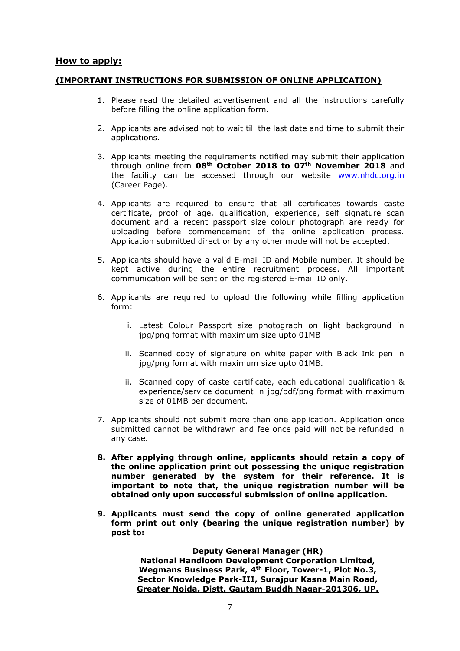#### **How to apply:**

#### **(IMPORTANT INSTRUCTIONS FOR SUBMISSION OF ONLINE APPLICATION)**

- 1. Please read the detailed advertisement and all the instructions carefully before filling the online application form.
- 2. Applicants are advised not to wait till the last date and time to submit their applications.
- 3. Applicants meeting the requirements notified may submit their application through online from **08th October 2018 to 07th November 2018** and the facility can be accessed through our website [www.nhdc.org.in](http://www.nhdc.org.in/) (Career Page).
- 4. Applicants are required to ensure that all certificates towards caste certificate, proof of age, qualification, experience, self signature scan document and a recent passport size colour photograph are ready for uploading before commencement of the online application process. Application submitted direct or by any other mode will not be accepted.
- 5. Applicants should have a valid E-mail ID and Mobile number. It should be kept active during the entire recruitment process. All important communication will be sent on the registered E-mail ID only.
- 6. Applicants are required to upload the following while filling application form:
	- i. Latest Colour Passport size photograph on light background in jpg/png format with maximum size upto 01MB
	- ii. Scanned copy of signature on white paper with Black Ink pen in jpg/png format with maximum size upto 01MB.
	- iii. Scanned copy of caste certificate, each educational qualification & experience/service document in jpg/pdf/png format with maximum size of 01MB per document.
- 7. Applicants should not submit more than one application. Application once submitted cannot be withdrawn and fee once paid will not be refunded in any case.
- **8. After applying through online, applicants should retain a copy of the online application print out possessing the unique registration number generated by the system for their reference. It is important to note that, the unique registration number will be obtained only upon successful submission of online application.**
- **9. Applicants must send the copy of online generated application form print out only (bearing the unique registration number) by post to:**

**Deputy General Manager (HR)**

**National Handloom Development Corporation Limited, Wegmans Business Park, 4th Floor, Tower-1, Plot No.3, Sector Knowledge Park-III, Surajpur Kasna Main Road, Greater Noida, Distt. Gautam Buddh Nagar-201306, UP.**